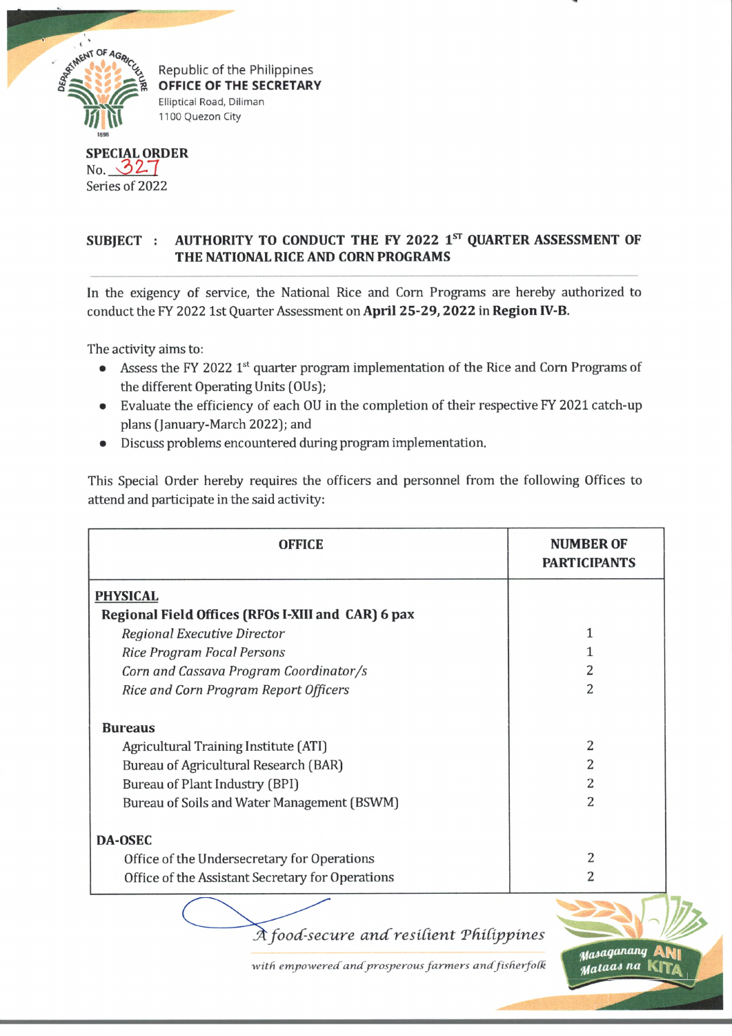

Republic of the Philippines **OFFICE OF THE SECRETARY** Elliptical Road, Diliman 1100 Quezon City

**SPECIAL ORDER**  $No. 32 7$ Series of 2022

## **SUBJECT : AUTHORITY TO CONDUCT THE FY 2022 1st QUARTER ASSESSMENT OF THE NATIONAL RICE AND CORN PROGRAMS**

In the exigency of service, the National Rice and Corn Programs are hereby authorized to conduct the FY 2022 1st Quarter Assessment on **April 25-29,2022** in **Region IV-B.**

The activity aims to:

- Assess the FY 2022 1<sup>st</sup> quarter program implementation of the Rice and Corn Programs of the different Operating Units (OUs);
- Evaluate the efficiency of each OU in the completion of their respective FY 2021 catch-up plans (January-March 2022); and
- Discuss problems encountered during program implementation.

This Special Order hereby requires the officers and personnel from the following Offices to attend and participate in the said activity:

| <b>OFFICE</b>                                      | <b>NUMBER OF</b><br><b>PARTICIPANTS</b> |
|----------------------------------------------------|-----------------------------------------|
| <b>PHYSICAL</b>                                    |                                         |
| Regional Field Offices (RFOs I-XIII and CAR) 6 pax |                                         |
| Regional Executive Director                        |                                         |
| <b>Rice Program Focal Persons</b>                  |                                         |
| Corn and Cassava Program Coordinator/s             |                                         |
| Rice and Corn Program Report Officers              | 2                                       |
| <b>Bureaus</b>                                     |                                         |
| Agricultural Training Institute (ATI)              | 2                                       |
| Bureau of Agricultural Research (BAR)              | 2                                       |
| Bureau of Plant Industry (BPI)                     | 2                                       |
| Bureau of Soils and Water Management (BSWM)        | 2                                       |
| <b>DA-OSEC</b>                                     |                                         |
| Office of the Undersecretary for Operations        | 2                                       |
| Office of the Assistant Secretary for Operations   | 2                                       |

*A food-secure and resilient Philippines* 

*^lOaqatutng* **AN|**

**KITa**

with empowered and prosperous farmers and fisherfolk